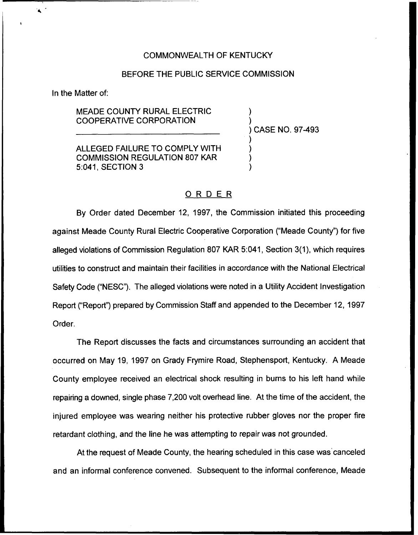# COMMONWEALTH OF KENTUCKY

# BEFORE THE PUBLIC SERVICE COMMISSION

In the Matter of:

 $\blacktriangle$ 

MEADE COUNTY RURAL ELECTRIC COOPERATIVE CORPORATION

ALLEGED FAILURE TO COMPLY WITH COMMISSION REGULATION 807 KAR 5:041, SECTION 3

) CASE NO. 97-493

) )

) ) ) )

# ORDER

By Order dated December 12, 1997, the Commission initiated this proceeding against Meade County Rural Electric Cooperative Corporation ("Meade County") for five alleged violations of Commission Regulation 807 KAR 5:041, Section 3(1), which requires utilities to construct and maintain their facilities in accordance with the National Electrical Safety Code ("NESC"). The alleged violations were noted in a Utility Accident Investigation Report ("Report") prepared by Commission Staff and appended to the December 12, 1997 Order.

The Report discusses the facts and circumstances surrounding an accident that occurred on May 19, 1997 on Grady Frymire Road, Stephensport, Kentucky. A Meade County employee received an electrical shock resulting in burns to his left hand while repairing a downed, single phase 7,200 volt overhead line. At the time of the accident, the injured employee was wearing neither his protective rubber gloves nor the proper fire retardant clothing, and the line he was attempting to repair was not grounded.

At the request of Meade County, the hearing scheduled in this case was canceled and an informal conference convened. Subsequent to the informal conference, Meade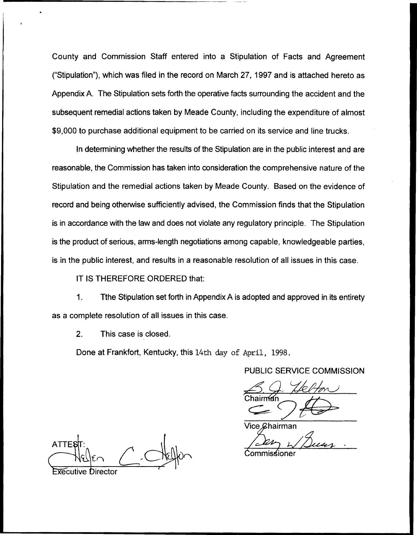County and Commission Staff entered into a Stipulation of Facts and Agreement ("Stipulation\*'), which was filed in the record on March 27, 1997 and is attached hereto as Appendix A. The Stipulation sets forth the operative facts surrounding the accident and the subsequent remedial actions taken by Meade County, including the expenditure of almost \$9,000 to purchase additional equipment to be carried on its service and line trucks.

In determining whether the results of the Stipulation are in the public interest and are reasonable, the Commission has taken into consideration the comprehensive nature of the Stipulation and the remedial actions taken by Meade County. Based on the evidence of record and being otherwise sufficiently advised, the Commission finds that the Stipulation is in accordance with the law and does not violate any regulatory principle. The Stipulation is the product of serious, arms-length negotiations among capable, knowledgeable parties, is in the public interest, and results in a reasonable resolution of all issues in this case.

IT IS THEREFORE ORDERED that:

Tthe Stipulation set forth in Appendix A is adopted and approved in its entirety  $\mathbf 1$ . as a complete resolution of all issues in this case.

2. This case is closed.

Done at Frankfort, Kentucky, this 14th day of April, 1998.

PUBLIC SERVICE COMMISSION

Vice *ይ*hairman

**ATTES** Executive Director

Commissioner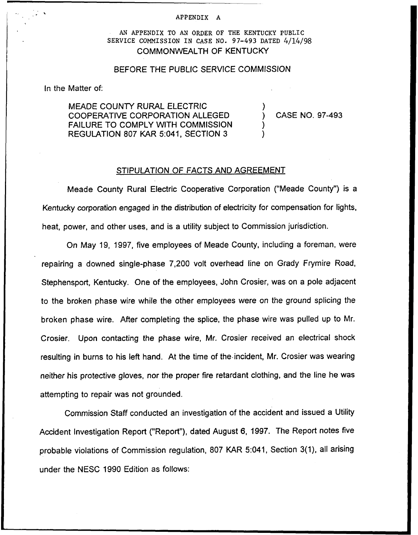#### APPENDIX A

AN APPENDIX TO AN ORDER OF THE KENTUCKY PUBLIC SERVICE CONNISSION IN CASE NO. 97-493 DATED 4/14/98 COMMONWEALTH OF KENTUCKY

### BEFORE THE PUBLIC SERVICE COMMISSION

In the Matter of:

MEADE COUNTY RURAL ELECTRIC COOPERATIVE CORPORATION ALLEGED FAILURE TO COMPLY WITH COMMISSION REGULATION 807 KAR 5:041, SECTION 3

) CASE NO. 97-493

)

) )

## STIPULATION OF FACTS AND AGREEMENT

Meade County Rural Electric Cooperative Corporation ("Meade County") is a Kentucky corporation engaged in the distribution of electricity for compensation for lights, heat, power, and other uses, and is a utility subject to Commission jurisdiction.

On May 19, 1997, five employees of Meade County, including a foreman, were repairing a downed single-phase 7,200 volt overhead line on Grady Frymire Road, Stephensport, Kentucky. One of the employees, John Crosier, was on a pole adjacent to the broken phase wire white the other employees were on the ground splicing the broken phase wire. After completing the splice, the phase wire was pulled up to Mr. Crosier. Upon contacting the phase wire, Mr. Crosier received an electrical shock resulting in burns to his left hand. At the time of the-incident, Mr. Crosier was wearing neither his protective gloves, nor the proper fire retardant clothing, and the line he was attempting to repair was not grounded.

Commission Staff conducted an investigation of the accident and issued a Utility Accident Investigation Report ("Report"), dated August 6, 1997. The Report notes five probable violations of Commission regulation, 807 KAR 5:041, Section 3(1), all arising under the NESC 1990 Edition as follows: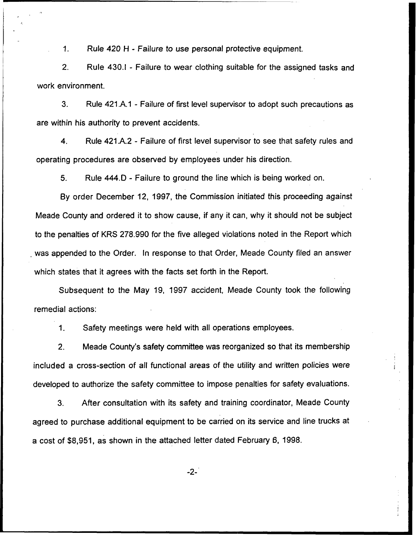$1.$ Rule 420 <sup>H</sup> - Failure to use personal protective equipment.

2. Rule 430.I - Failure to wear clothing suitable for the assigned tasks and work environment.

 $3.$ Rule 421.A.1 - Failure of first level supervisor to adopt such precautions as are within his authority to prevent accidents.

4. Rule 421.A.2 - Failure of first level supervisor to see that safety rules and operating procedures are observed by employees under his direction.

5. Rule 444.D - Failure to ground the line which is being worked on.

By order December 12, 1997, the Commission initiated this proceeding against Meade County and ordered it to show cause, if any it can, why it should not be subject to the penalties of KRS 278.990 for the five alleged violations noted in the Report which was appended to the Order. In response to that Order, Meade County filed an answer which states that it agrees with the facts set forth in the Report.

Subsequent to the May 19, 1997 accident, Meade County took the following remedial actions:

1. Safety meetings were held with all operations employees.

2. Meade County's safety committee was reorganized so that its membership included a cross-section of all functional areas of the utility and written policies were developed to authorize the safety committee to impose penalties for safety evaluations.

3. After consultation with its safety and training coordinator, Meade County agreed to purchase additional equipment to be carried on its service and line trucks at a cost of \$8,951, as shown in the attached letter dated February 6, 1998.

-2-